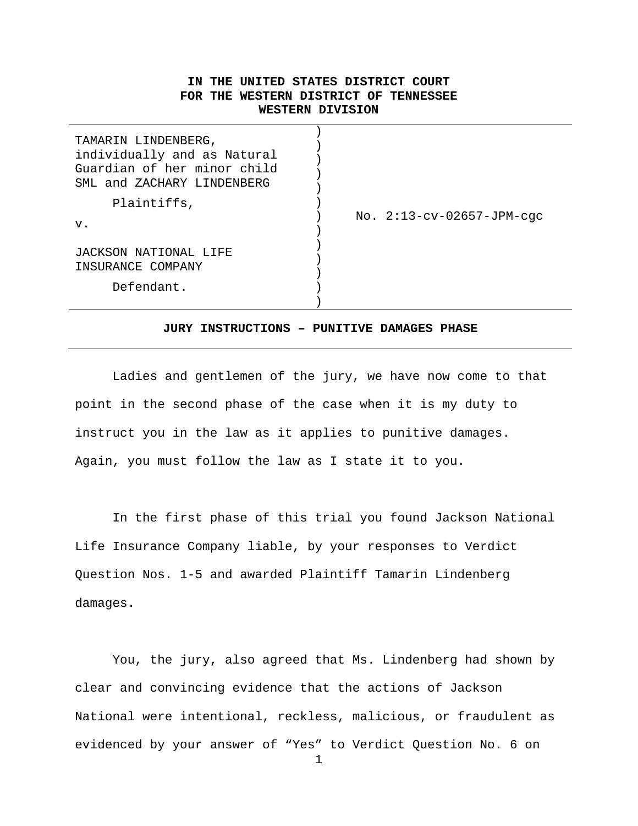# **IN THE UNITED STATES DISTRICT COURT FOR THE WESTERN DISTRICT OF TENNESSEE WESTERN DIVISION**

| TAMARIN LINDENBERG,<br>individually and as Natural<br>Guardian of her minor child<br>SML and ZACHARY LINDENBERG |                             |
|-----------------------------------------------------------------------------------------------------------------|-----------------------------|
| Plaintiffs,                                                                                                     | No. $2:13-cv-02657-JPM-cgc$ |
| $V$ .<br>JACKSON NATIONAL LIFE                                                                                  |                             |
| INSURANCE COMPANY                                                                                               |                             |
| Defendant.                                                                                                      |                             |

# **JURY INSTRUCTIONS – PUNITIVE DAMAGES PHASE**

Ladies and gentlemen of the jury, we have now come to that point in the second phase of the case when it is my duty to instruct you in the law as it applies to punitive damages. Again, you must follow the law as I state it to you.

In the first phase of this trial you found Jackson National Life Insurance Company liable, by your responses to Verdict Question Nos. 1-5 and awarded Plaintiff Tamarin Lindenberg damages.

You, the jury, also agreed that Ms. Lindenberg had shown by clear and convincing evidence that the actions of Jackson National were intentional, reckless, malicious, or fraudulent as evidenced by your answer of "Yes" to Verdict Question No. 6 on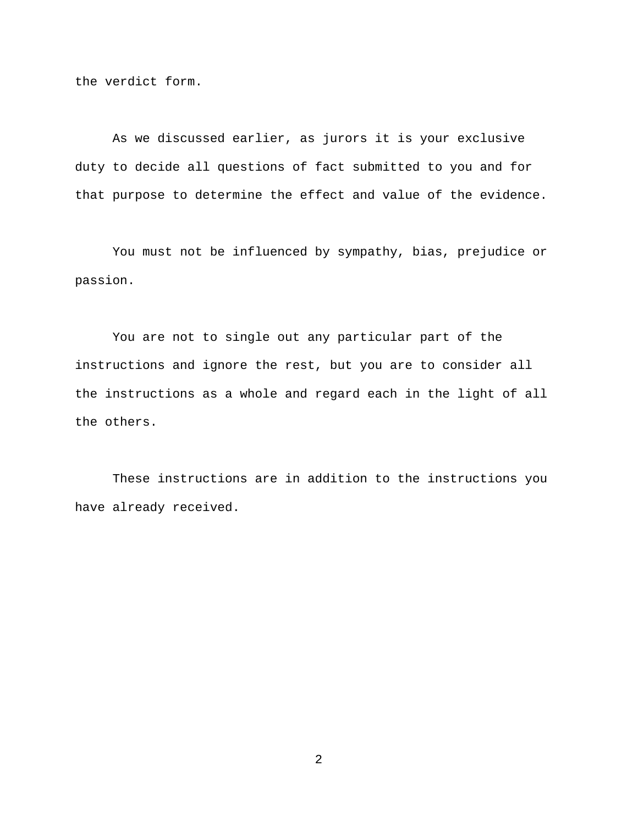the verdict form.

As we discussed earlier, as jurors it is your exclusive duty to decide all questions of fact submitted to you and for that purpose to determine the effect and value of the evidence.

You must not be influenced by sympathy, bias, prejudice or passion.

You are not to single out any particular part of the instructions and ignore the rest, but you are to consider all the instructions as a whole and regard each in the light of all the others.

These instructions are in addition to the instructions you have already received.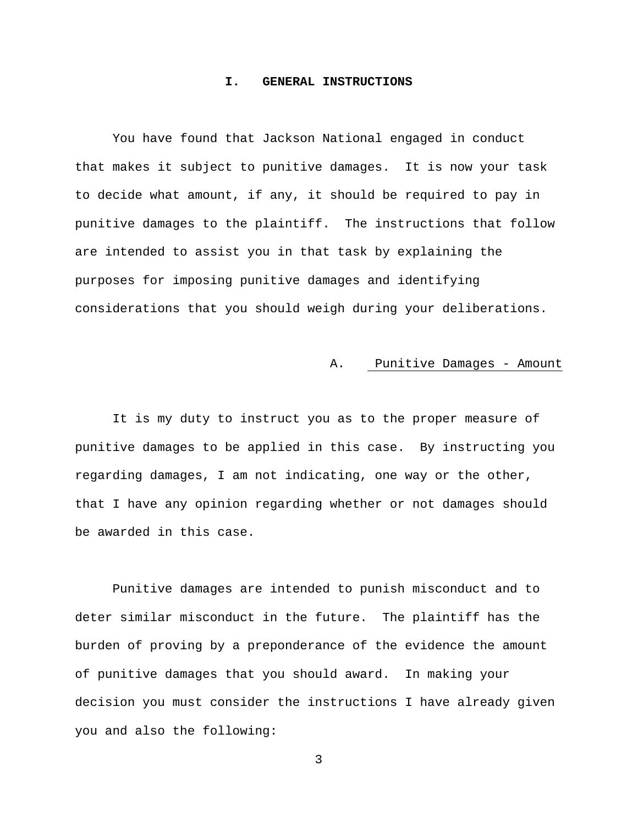### **I. GENERAL INSTRUCTIONS**

You have found that Jackson National engaged in conduct that makes it subject to punitive damages. It is now your task to decide what amount, if any, it should be required to pay in punitive damages to the plaintiff. The instructions that follow are intended to assist you in that task by explaining the purposes for imposing punitive damages and identifying considerations that you should weigh during your deliberations.

# A. Punitive Damages - Amount

It is my duty to instruct you as to the proper measure of punitive damages to be applied in this case. By instructing you regarding damages, I am not indicating, one way or the other, that I have any opinion regarding whether or not damages should be awarded in this case.

Punitive damages are intended to punish misconduct and to deter similar misconduct in the future. The plaintiff has the burden of proving by a preponderance of the evidence the amount of punitive damages that you should award. In making your decision you must consider the instructions I have already given you and also the following: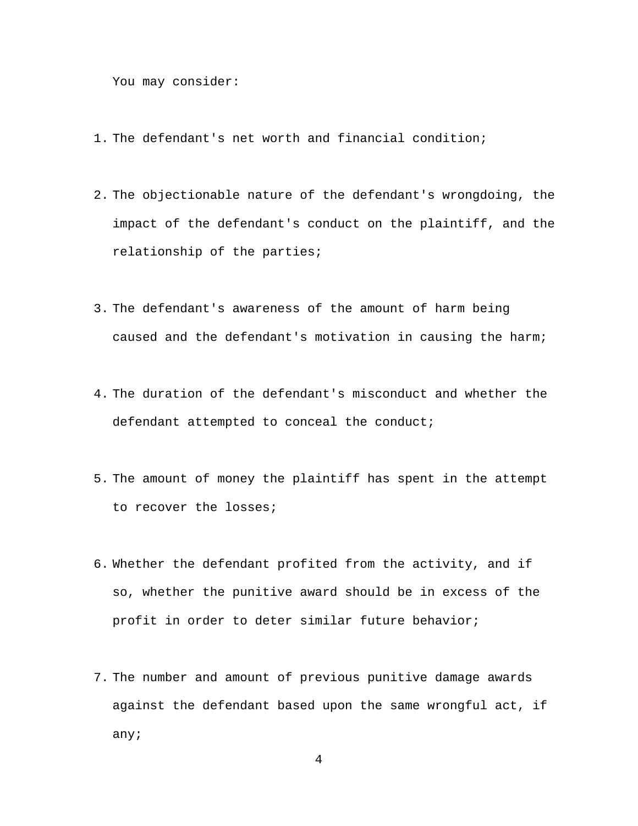You may consider:

- 1. The defendant's net worth and financial condition;
- 2. The objectionable nature of the defendant's wrongdoing, the impact of the defendant's conduct on the plaintiff, and the relationship of the parties;
- 3. The defendant's awareness of the amount of harm being caused and the defendant's motivation in causing the harm;
- 4. The duration of the defendant's misconduct and whether the defendant attempted to conceal the conduct;
- 5. The amount of money the plaintiff has spent in the attempt to recover the losses;
- 6. Whether the defendant profited from the activity, and if so, whether the punitive award should be in excess of the profit in order to deter similar future behavior;
- 7. The number and amount of previous punitive damage awards against the defendant based upon the same wrongful act, if any;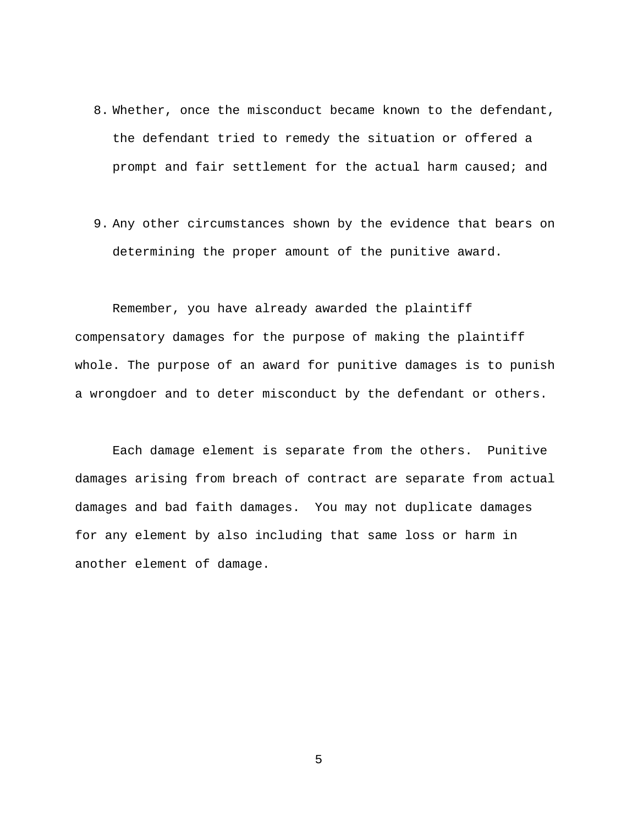- 8. Whether, once the misconduct became known to the defendant, the defendant tried to remedy the situation or offered a prompt and fair settlement for the actual harm caused; and
- 9. Any other circumstances shown by the evidence that bears on determining the proper amount of the punitive award.

Remember, you have already awarded the plaintiff compensatory damages for the purpose of making the plaintiff whole. The purpose of an award for punitive damages is to punish a wrongdoer and to deter misconduct by the defendant or others.

Each damage element is separate from the others. Punitive damages arising from breach of contract are separate from actual damages and bad faith damages. You may not duplicate damages for any element by also including that same loss or harm in another element of damage.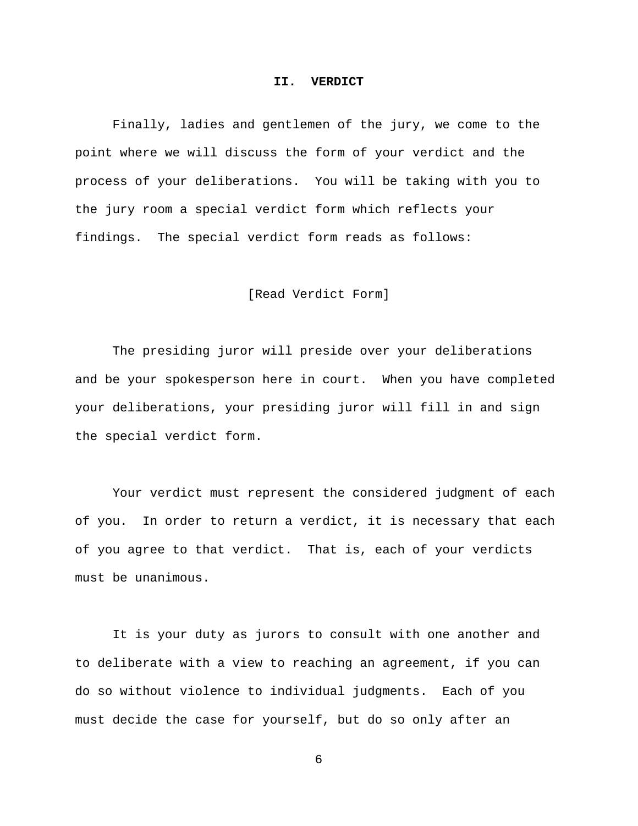#### **II. VERDICT**

Finally, ladies and gentlemen of the jury, we come to the point where we will discuss the form of your verdict and the process of your deliberations. You will be taking with you to the jury room a special verdict form which reflects your findings. The special verdict form reads as follows:

## [Read Verdict Form]

The presiding juror will preside over your deliberations and be your spokesperson here in court. When you have completed your deliberations, your presiding juror will fill in and sign the special verdict form.

Your verdict must represent the considered judgment of each of you. In order to return a verdict, it is necessary that each of you agree to that verdict. That is, each of your verdicts must be unanimous.

It is your duty as jurors to consult with one another and to deliberate with a view to reaching an agreement, if you can do so without violence to individual judgments. Each of you must decide the case for yourself, but do so only after an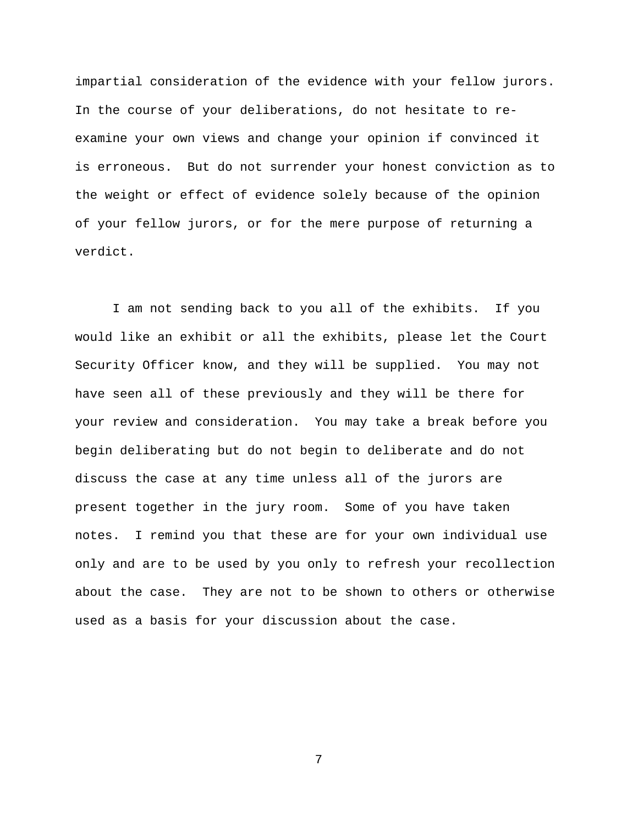impartial consideration of the evidence with your fellow jurors. In the course of your deliberations, do not hesitate to reexamine your own views and change your opinion if convinced it is erroneous. But do not surrender your honest conviction as to the weight or effect of evidence solely because of the opinion of your fellow jurors, or for the mere purpose of returning a verdict.

I am not sending back to you all of the exhibits. If you would like an exhibit or all the exhibits, please let the Court Security Officer know, and they will be supplied. You may not have seen all of these previously and they will be there for your review and consideration. You may take a break before you begin deliberating but do not begin to deliberate and do not discuss the case at any time unless all of the jurors are present together in the jury room. Some of you have taken notes. I remind you that these are for your own individual use only and are to be used by you only to refresh your recollection about the case. They are not to be shown to others or otherwise used as a basis for your discussion about the case.